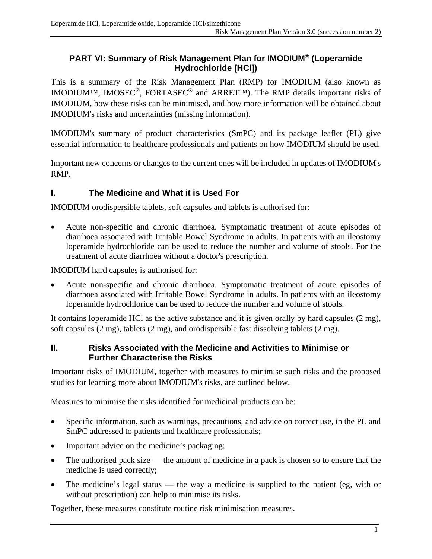## **PART VI: Summary of Risk Management Plan for IMODIUM® (Loperamide Hydrochloride [HCl])**

This is a summary of the Risk Management Plan (RMP) for IMODIUM (also known as IMODIUM™, IMOSEC®, FORTASEC® and ARRET™). The RMP details important risks of IMODIUM, how these risks can be minimised, and how more information will be obtained about IMODIUM's risks and uncertainties (missing information).

IMODIUM's summary of product characteristics (SmPC) and its package leaflet (PL) give essential information to healthcare professionals and patients on how IMODIUM should be used.

Important new concerns or changes to the current ones will be included in updates of IMODIUM's RMP.

# **I. The Medicine and What it is Used For**

IMODIUM orodispersible tablets, soft capsules and tablets is authorised for:

 Acute non-specific and chronic diarrhoea. Symptomatic treatment of acute episodes of diarrhoea associated with Irritable Bowel Syndrome in adults. In patients with an ileostomy loperamide hydrochloride can be used to reduce the number and volume of stools. For the treatment of acute diarrhoea without a doctor's prescription.

IMODIUM hard capsules is authorised for:

 Acute non-specific and chronic diarrhoea. Symptomatic treatment of acute episodes of diarrhoea associated with Irritable Bowel Syndrome in adults. In patients with an ileostomy loperamide hydrochloride can be used to reduce the number and volume of stools.

It contains loperamide HCl as the active substance and it is given orally by hard capsules (2 mg), soft capsules (2 mg), tablets (2 mg), and orodispersible fast dissolving tablets (2 mg).

#### **II. Risks Associated with the Medicine and Activities to Minimise or Further Characterise the Risks**

Important risks of IMODIUM, together with measures to minimise such risks and the proposed studies for learning more about IMODIUM's risks, are outlined below.

Measures to minimise the risks identified for medicinal products can be:

- Specific information, such as warnings, precautions, and advice on correct use, in the PL and SmPC addressed to patients and healthcare professionals;
- Important advice on the medicine's packaging;
- The authorised pack size the amount of medicine in a pack is chosen so to ensure that the medicine is used correctly;
- The medicine's legal status the way a medicine is supplied to the patient (eg, with or without prescription) can help to minimise its risks.

Together, these measures constitute routine risk minimisation measures.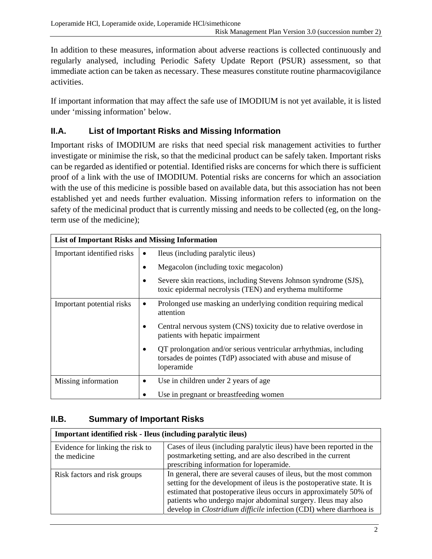In addition to these measures, information about adverse reactions is collected continuously and regularly analysed, including Periodic Safety Update Report (PSUR) assessment, so that immediate action can be taken as necessary. These measures constitute routine pharmacovigilance activities.

If important information that may affect the safe use of IMODIUM is not yet available, it is listed under 'missing information' below.

# **II.A. List of Important Risks and Missing Information**

Important risks of IMODIUM are risks that need special risk management activities to further investigate or minimise the risk, so that the medicinal product can be safely taken. Important risks can be regarded as identified or potential. Identified risks are concerns for which there is sufficient proof of a link with the use of IMODIUM. Potential risks are concerns for which an association with the use of this medicine is possible based on available data, but this association has not been established yet and needs further evaluation. Missing information refers to information on the safety of the medicinal product that is currently missing and needs to be collected (eg, on the longterm use of the medicine);

| <b>List of Important Risks and Missing Information</b> |                                                                                                                                                       |
|--------------------------------------------------------|-------------------------------------------------------------------------------------------------------------------------------------------------------|
| Important identified risks                             | Ileus (including paralytic ileus)<br>٠                                                                                                                |
|                                                        | Megacolon (including toxic megacolon)                                                                                                                 |
|                                                        | Severe skin reactions, including Stevens Johnson syndrome (SJS),<br>toxic epidermal necrolysis (TEN) and erythema multiforme                          |
| Important potential risks                              | Prolonged use masking an underlying condition requiring medical<br>$\bullet$<br>attention                                                             |
|                                                        | Central nervous system (CNS) toxicity due to relative overdose in<br>patients with hepatic impairment                                                 |
|                                                        | QT prolongation and/or serious ventricular arrhythmias, including<br>٠<br>torsades de pointes (TdP) associated with abuse and misuse of<br>loperamide |
| Missing information                                    | Use in children under 2 years of age                                                                                                                  |
|                                                        | Use in pregnant or breastfeeding women                                                                                                                |

# **II.B. Summary of Important Risks**

| Important identified risk - Ileus (including paralytic ileus) |                                                                                                                                                                                                                                                                                                                                                                 |
|---------------------------------------------------------------|-----------------------------------------------------------------------------------------------------------------------------------------------------------------------------------------------------------------------------------------------------------------------------------------------------------------------------------------------------------------|
| Evidence for linking the risk to<br>the medicine              | Cases of ileus (including paralytic ileus) have been reported in the<br>postmarketing setting, and are also described in the current<br>prescribing information for loperamide.                                                                                                                                                                                 |
| Risk factors and risk groups                                  | In general, there are several causes of ileus, but the most common<br>setting for the development of ileus is the postoperative state. It is<br>estimated that postoperative ileus occurs in approximately 50% of<br>patients who undergo major abdominal surgery. Ileus may also<br>develop in <i>Clostridium difficile</i> infection (CDI) where diarrhoea is |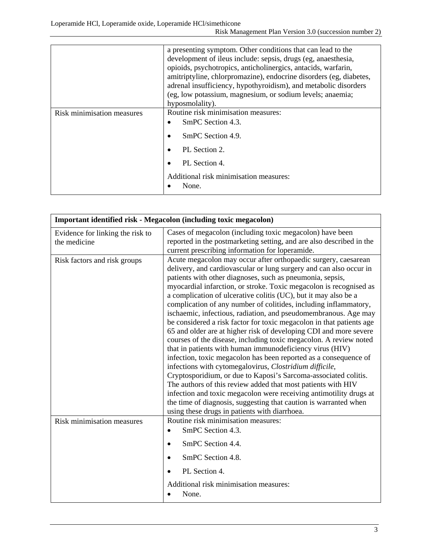|                            | a presenting symptom. Other conditions that can lead to the<br>development of ileus include: sepsis, drugs (eg, anaesthesia,<br>opioids, psychotropics, anticholinergics, antacids, warfarin,<br>amitriptyline, chlorpromazine), endocrine disorders (eg, diabetes,<br>adrenal insufficiency, hypothyroidism), and metabolic disorders<br>(eg, low potassium, magnesium, or sodium levels; anaemia;<br>hyposmolality). |
|----------------------------|------------------------------------------------------------------------------------------------------------------------------------------------------------------------------------------------------------------------------------------------------------------------------------------------------------------------------------------------------------------------------------------------------------------------|
| Risk minimisation measures | Routine risk minimisation measures:<br>SmPC Section 4.3.<br>SmPC Section 4.9.<br>PL Section 2.<br>PL Section 4.<br>Additional risk minimisation measures:<br>None.                                                                                                                                                                                                                                                     |

| Important identified risk - Megacolon (including toxic megacolon) |                                                                                                                                                                                                                                                                                                                                                                                                                                                                                                                                                                                                                                                                                                                                                                                                                                                                                                                                                                                                                                                                                                                                                                                                                              |
|-------------------------------------------------------------------|------------------------------------------------------------------------------------------------------------------------------------------------------------------------------------------------------------------------------------------------------------------------------------------------------------------------------------------------------------------------------------------------------------------------------------------------------------------------------------------------------------------------------------------------------------------------------------------------------------------------------------------------------------------------------------------------------------------------------------------------------------------------------------------------------------------------------------------------------------------------------------------------------------------------------------------------------------------------------------------------------------------------------------------------------------------------------------------------------------------------------------------------------------------------------------------------------------------------------|
| Evidence for linking the risk to<br>the medicine                  | Cases of megacolon (including toxic megacolon) have been<br>reported in the postmarketing setting, and are also described in the<br>current prescribing information for loperamide.                                                                                                                                                                                                                                                                                                                                                                                                                                                                                                                                                                                                                                                                                                                                                                                                                                                                                                                                                                                                                                          |
| Risk factors and risk groups                                      | Acute megacolon may occur after orthopaedic surgery, caesarean<br>delivery, and cardiovascular or lung surgery and can also occur in<br>patients with other diagnoses, such as pneumonia, sepsis,<br>myocardial infarction, or stroke. Toxic megacolon is recognised as<br>a complication of ulcerative colitis (UC), but it may also be a<br>complication of any number of colitides, including inflammatory,<br>ischaemic, infectious, radiation, and pseudomembranous. Age may<br>be considered a risk factor for toxic megacolon in that patients age<br>65 and older are at higher risk of developing CDI and more severe<br>courses of the disease, including toxic megacolon. A review noted<br>that in patients with human immunodeficiency virus (HIV)<br>infection, toxic megacolon has been reported as a consequence of<br>infections with cytomegalovirus, Clostridium difficile,<br>Cryptosporidium, or due to Kaposi's Sarcoma-associated colitis.<br>The authors of this review added that most patients with HIV<br>infection and toxic megacolon were receiving antimotility drugs at<br>the time of diagnosis, suggesting that caution is warranted when<br>using these drugs in patients with diarrhoea. |
| Risk minimisation measures                                        | Routine risk minimisation measures:<br>SmPC Section 4.3.<br>$\bullet$<br>SmPC Section 4.4.<br>SmPC Section 4.8.<br>PL Section 4.<br>Additional risk minimisation measures:<br>None.                                                                                                                                                                                                                                                                                                                                                                                                                                                                                                                                                                                                                                                                                                                                                                                                                                                                                                                                                                                                                                          |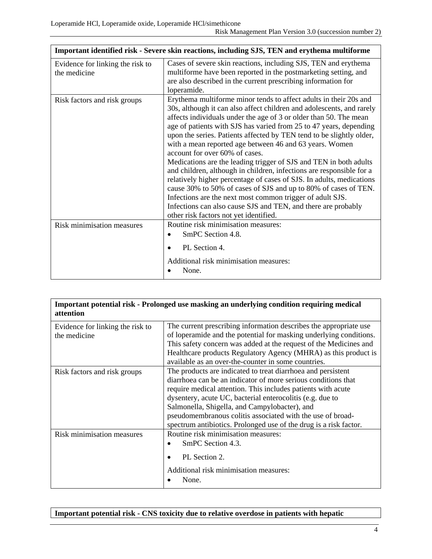| Important identified risk - Severe skin reactions, including SJS, TEN and erythema multiforme |                                                                                                                                                                                                                                                                                                                                                                                                                                                                                                                                                                                                                                                                                                                                                                                                                                                                                                                            |
|-----------------------------------------------------------------------------------------------|----------------------------------------------------------------------------------------------------------------------------------------------------------------------------------------------------------------------------------------------------------------------------------------------------------------------------------------------------------------------------------------------------------------------------------------------------------------------------------------------------------------------------------------------------------------------------------------------------------------------------------------------------------------------------------------------------------------------------------------------------------------------------------------------------------------------------------------------------------------------------------------------------------------------------|
| Evidence for linking the risk to<br>the medicine                                              | Cases of severe skin reactions, including SJS, TEN and erythema<br>multiforme have been reported in the postmarketing setting, and<br>are also described in the current prescribing information for<br>loperamide.                                                                                                                                                                                                                                                                                                                                                                                                                                                                                                                                                                                                                                                                                                         |
| Risk factors and risk groups                                                                  | Erythema multiforme minor tends to affect adults in their 20s and<br>30s, although it can also affect children and adolescents, and rarely<br>affects individuals under the age of 3 or older than 50. The mean<br>age of patients with SJS has varied from 25 to 47 years, depending<br>upon the series. Patients affected by TEN tend to be slightly older,<br>with a mean reported age between 46 and 63 years. Women<br>account for over 60% of cases.<br>Medications are the leading trigger of SJS and TEN in both adults<br>and children, although in children, infections are responsible for a<br>relatively higher percentage of cases of SJS. In adults, medications<br>cause 30% to 50% of cases of SJS and up to 80% of cases of TEN.<br>Infections are the next most common trigger of adult SJS.<br>Infections can also cause SJS and TEN, and there are probably<br>other risk factors not yet identified. |
| Risk minimisation measures                                                                    | Routine risk minimisation measures:<br>SmPC Section 4.8.<br>PL Section 4.<br>Additional risk minimisation measures:<br>None.                                                                                                                                                                                                                                                                                                                                                                                                                                                                                                                                                                                                                                                                                                                                                                                               |

| Important potential risk - Prolonged use masking an underlying condition requiring medical<br>attention |                                                                                                                                                                                                                                                                                                                                                                                                                                                |
|---------------------------------------------------------------------------------------------------------|------------------------------------------------------------------------------------------------------------------------------------------------------------------------------------------------------------------------------------------------------------------------------------------------------------------------------------------------------------------------------------------------------------------------------------------------|
| Evidence for linking the risk to<br>the medicine                                                        | The current prescribing information describes the appropriate use<br>of loperamide and the potential for masking underlying conditions.<br>This safety concern was added at the request of the Medicines and<br>Healthcare products Regulatory Agency (MHRA) as this product is                                                                                                                                                                |
|                                                                                                         | available as an over-the-counter in some countries.                                                                                                                                                                                                                                                                                                                                                                                            |
| Risk factors and risk groups                                                                            | The products are indicated to treat diarrhoea and persistent<br>diarrhoea can be an indicator of more serious conditions that<br>require medical attention. This includes patients with acute<br>dysentery, acute UC, bacterial enterocolitis (e.g. due to<br>Salmonella, Shigella, and Campylobacter), and<br>pseudomembranous colitis associated with the use of broad-<br>spectrum antibiotics. Prolonged use of the drug is a risk factor. |
| Risk minimisation measures                                                                              | Routine risk minimisation measures:<br>SmPC Section 4.3.<br>PL Section 2.<br>Additional risk minimisation measures:                                                                                                                                                                                                                                                                                                                            |
|                                                                                                         | None.                                                                                                                                                                                                                                                                                                                                                                                                                                          |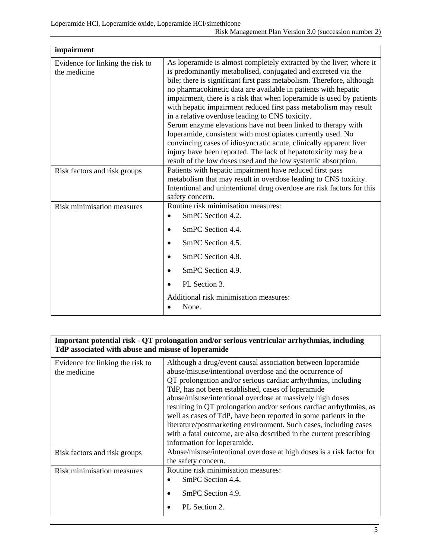| impairment                                       |                                                                                                                                                                                                                                                                                                                                                                                                                                                                                                                                                                                                                                                                                                                                                                                                                        |
|--------------------------------------------------|------------------------------------------------------------------------------------------------------------------------------------------------------------------------------------------------------------------------------------------------------------------------------------------------------------------------------------------------------------------------------------------------------------------------------------------------------------------------------------------------------------------------------------------------------------------------------------------------------------------------------------------------------------------------------------------------------------------------------------------------------------------------------------------------------------------------|
| Evidence for linking the risk to<br>the medicine | As loperamide is almost completely extracted by the liver; where it<br>is predominantly metabolised, conjugated and excreted via the<br>bile; there is significant first pass metabolism. Therefore, although<br>no pharmacokinetic data are available in patients with hepatic<br>impairment, there is a risk that when loperamide is used by patients<br>with hepatic impairment reduced first pass metabolism may result<br>in a relative overdose leading to CNS toxicity.<br>Serum enzyme elevations have not been linked to therapy with<br>loperamide, consistent with most opiates currently used. No<br>convincing cases of idiosyncratic acute, clinically apparent liver<br>injury have been reported. The lack of hepatotoxicity may be a<br>result of the low doses used and the low systemic absorption. |
| Risk factors and risk groups                     | Patients with hepatic impairment have reduced first pass<br>metabolism that may result in overdose leading to CNS toxicity.<br>Intentional and unintentional drug overdose are risk factors for this<br>safety concern.                                                                                                                                                                                                                                                                                                                                                                                                                                                                                                                                                                                                |
| Risk minimisation measures                       | Routine risk minimisation measures:<br>SmPC Section 4.2.<br>SmPC Section 4.4.<br>SmPC Section 4.5.<br>SmPC Section 4.8.<br>SmPC Section 4.9.<br>PL Section 3.<br>Additional risk minimisation measures:<br>None.                                                                                                                                                                                                                                                                                                                                                                                                                                                                                                                                                                                                       |

| Important potential risk - QT prolongation and/or serious ventricular arrhythmias, including<br>TdP associated with abuse and misuse of loperamide |                                                                      |
|----------------------------------------------------------------------------------------------------------------------------------------------------|----------------------------------------------------------------------|
| Evidence for linking the risk to                                                                                                                   | Although a drug/event causal association between loperamide          |
| the medicine                                                                                                                                       | abuse/misuse/intentional overdose and the occurrence of              |
|                                                                                                                                                    | QT prolongation and/or serious cardiac arrhythmias, including        |
|                                                                                                                                                    | TdP, has not been established, cases of loperamide                   |
|                                                                                                                                                    | abuse/misuse/intentional overdose at massively high doses            |
|                                                                                                                                                    | resulting in QT prolongation and/or serious cardiac arrhythmias, as  |
|                                                                                                                                                    | well as cases of TdP, have been reported in some patients in the     |
|                                                                                                                                                    | literature/postmarketing environment. Such cases, including cases    |
|                                                                                                                                                    | with a fatal outcome, are also described in the current prescribing  |
|                                                                                                                                                    | information for loperamide.                                          |
| Risk factors and risk groups                                                                                                                       | Abuse/misuse/intentional overdose at high doses is a risk factor for |
|                                                                                                                                                    | the safety concern.                                                  |
| <b>Risk minimisation measures</b>                                                                                                                  | Routine risk minimisation measures:                                  |
|                                                                                                                                                    | SmPC Section 4.4.                                                    |
|                                                                                                                                                    | SmPC Section 4.9.                                                    |
|                                                                                                                                                    | PL Section 2.                                                        |